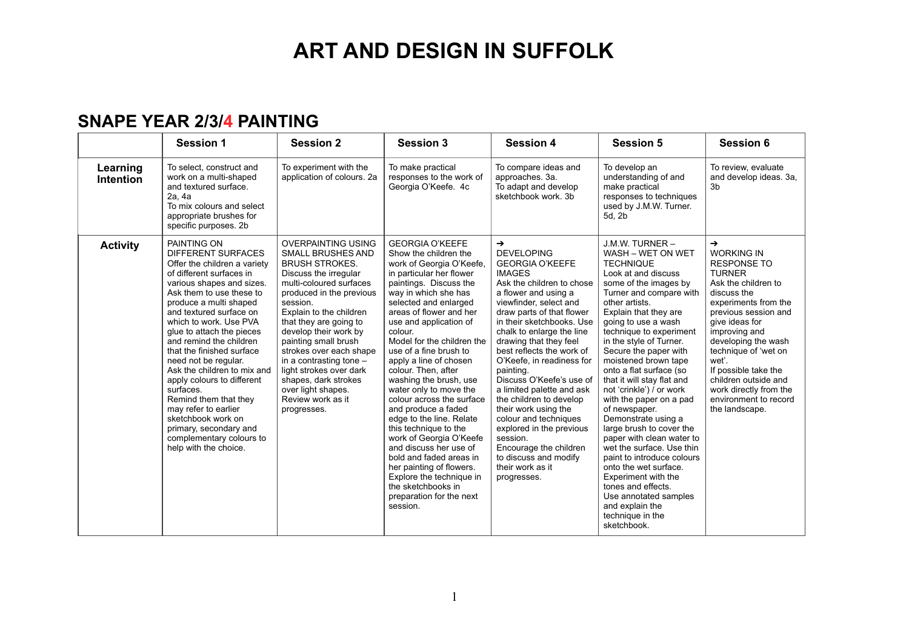#### **SNAPE YEAR 2/3/4 PAINTING**

|                              | <b>Session 1</b>                                                                                                                                                                                                                                                                                                                                                                                                                                                                                                                                                                          | <b>Session 2</b>                                                                                                                                                                                                                                                                                                                                                                                                                                    | <b>Session 3</b>                                                                                                                                                                                                                                                                                                                                                                                                                                                                                                                                                                                                                                                                                                               | <b>Session 4</b>                                                                                                                                                                                                                                                                                                                                                                                                                                                                                                                                                                                                        | <b>Session 5</b>                                                                                                                                                                                                                                                                                                                                                                                                                                                                                                                                                                                                                                                                                                                              | <b>Session 6</b>                                                                                                                                                                                                                                                                                                                                                                |
|------------------------------|-------------------------------------------------------------------------------------------------------------------------------------------------------------------------------------------------------------------------------------------------------------------------------------------------------------------------------------------------------------------------------------------------------------------------------------------------------------------------------------------------------------------------------------------------------------------------------------------|-----------------------------------------------------------------------------------------------------------------------------------------------------------------------------------------------------------------------------------------------------------------------------------------------------------------------------------------------------------------------------------------------------------------------------------------------------|--------------------------------------------------------------------------------------------------------------------------------------------------------------------------------------------------------------------------------------------------------------------------------------------------------------------------------------------------------------------------------------------------------------------------------------------------------------------------------------------------------------------------------------------------------------------------------------------------------------------------------------------------------------------------------------------------------------------------------|-------------------------------------------------------------------------------------------------------------------------------------------------------------------------------------------------------------------------------------------------------------------------------------------------------------------------------------------------------------------------------------------------------------------------------------------------------------------------------------------------------------------------------------------------------------------------------------------------------------------------|-----------------------------------------------------------------------------------------------------------------------------------------------------------------------------------------------------------------------------------------------------------------------------------------------------------------------------------------------------------------------------------------------------------------------------------------------------------------------------------------------------------------------------------------------------------------------------------------------------------------------------------------------------------------------------------------------------------------------------------------------|---------------------------------------------------------------------------------------------------------------------------------------------------------------------------------------------------------------------------------------------------------------------------------------------------------------------------------------------------------------------------------|
| Learning<br><b>Intention</b> | To select, construct and<br>work on a multi-shaped<br>and textured surface.<br>2a, 4a<br>To mix colours and select<br>appropriate brushes for<br>specific purposes. 2b                                                                                                                                                                                                                                                                                                                                                                                                                    | To experiment with the<br>application of colours. 2a                                                                                                                                                                                                                                                                                                                                                                                                | To make practical<br>responses to the work of<br>Georgia O'Keefe. 4c                                                                                                                                                                                                                                                                                                                                                                                                                                                                                                                                                                                                                                                           | To compare ideas and<br>approaches. 3a.<br>To adapt and develop<br>sketchbook work, 3b                                                                                                                                                                                                                                                                                                                                                                                                                                                                                                                                  | To develop an<br>understanding of and<br>make practical<br>responses to techniques<br>used by J.M.W. Turner.<br>5d, 2b                                                                                                                                                                                                                                                                                                                                                                                                                                                                                                                                                                                                                        | To review, evaluate<br>and develop ideas. 3a,<br>3 <sub>b</sub>                                                                                                                                                                                                                                                                                                                 |
| <b>Activity</b>              | PAINTING ON<br><b>DIFFERENT SURFACES</b><br>Offer the children a variety<br>of different surfaces in<br>various shapes and sizes.<br>Ask them to use these to<br>produce a multi shaped<br>and textured surface on<br>which to work. Use PVA<br>glue to attach the pieces<br>and remind the children<br>that the finished surface<br>need not be regular.<br>Ask the children to mix and<br>apply colours to different<br>surfaces.<br>Remind them that they<br>may refer to earlier<br>sketchbook work on<br>primary, secondary and<br>complementary colours to<br>help with the choice. | <b>OVERPAINTING USING</b><br><b>SMALL BRUSHES AND</b><br><b>BRUSH STROKES.</b><br>Discuss the irregular<br>multi-coloured surfaces<br>produced in the previous<br>session.<br>Explain to the children<br>that they are going to<br>develop their work by<br>painting small brush<br>strokes over each shape<br>in a contrasting tone -<br>light strokes over dark<br>shapes, dark strokes<br>over light shapes.<br>Review work as it<br>progresses. | <b>GEORGIA O'KEEFE</b><br>Show the children the<br>work of Georgia O'Keefe,<br>in particular her flower<br>paintings. Discuss the<br>way in which she has<br>selected and enlarged<br>areas of flower and her<br>use and application of<br>colour.<br>Model for the children the<br>use of a fine brush to<br>apply a line of chosen<br>colour. Then, after<br>washing the brush, use<br>water only to move the<br>colour across the surface<br>and produce a faded<br>edge to the line. Relate<br>this technique to the<br>work of Georgia O'Keefe<br>and discuss her use of<br>bold and faded areas in<br>her painting of flowers.<br>Explore the technique in<br>the sketchbooks in<br>preparation for the next<br>session. | $\rightarrow$<br><b>DEVELOPING</b><br><b>GEORGIA O'KEEFE</b><br><b>IMAGES</b><br>Ask the children to chose<br>a flower and using a<br>viewfinder, select and<br>draw parts of that flower<br>in their sketchbooks. Use<br>chalk to enlarge the line<br>drawing that they feel<br>best reflects the work of<br>O'Keefe, in readiness for<br>painting.<br>Discuss O'Keefe's use of<br>a limited palette and ask<br>the children to develop<br>their work using the<br>colour and techniques<br>explored in the previous<br>session.<br>Encourage the children<br>to discuss and modify<br>their work as it<br>progresses. | J.M.W. TURNER -<br>WASH - WET ON WET<br><b>TECHNIQUE</b><br>Look at and discuss<br>some of the images by<br>Turner and compare with<br>other artists.<br>Explain that they are<br>going to use a wash<br>technique to experiment<br>in the style of Turner.<br>Secure the paper with<br>moistened brown tape<br>onto a flat surface (so<br>that it will stay flat and<br>not 'crinkle') / or work<br>with the paper on a pad<br>of newspaper.<br>Demonstrate using a<br>large brush to cover the<br>paper with clean water to<br>wet the surface. Use thin<br>paint to introduce colours<br>onto the wet surface.<br>Experiment with the<br>tones and effects.<br>Use annotated samples<br>and explain the<br>technique in the<br>sketchbook. | $\rightarrow$<br><b>WORKING IN</b><br><b>RESPONSE TO</b><br><b>TURNER</b><br>Ask the children to<br>discuss the<br>experiments from the<br>previous session and<br>give ideas for<br>improving and<br>developing the wash<br>technique of 'wet on<br>wet'.<br>If possible take the<br>children outside and<br>work directly from the<br>environment to record<br>the landscape. |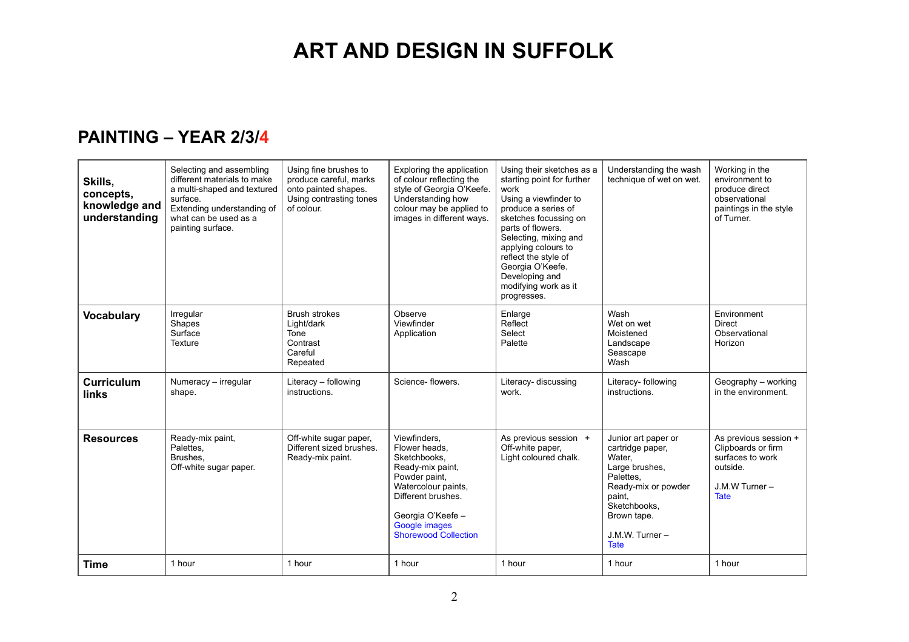### **PAINTING – YEAR 2/3/4**

| Skills,<br>concepts.<br>knowledge and<br>understanding | Selecting and assembling<br>different materials to make<br>a multi-shaped and textured<br>surface.<br>Extending understanding of<br>what can be used as a<br>painting surface. | Using fine brushes to<br>produce careful, marks<br>onto painted shapes.<br>Using contrasting tones<br>of colour. | Exploring the application<br>of colour reflecting the<br>style of Georgia O'Keefe.<br>Understanding how<br>colour may be applied to<br>images in different ways.                                     | Using their sketches as a<br>starting point for further<br>work<br>Using a viewfinder to<br>produce a series of<br>sketches focussing on<br>parts of flowers.<br>Selecting, mixing and<br>applying colours to<br>reflect the style of<br>Georgia O'Keefe.<br>Developing and<br>modifying work as it<br>progresses. | Understanding the wash<br>technique of wet on wet.                                                                                                                                 | Working in the<br>environment to<br>produce direct<br>observational<br>paintings in the style<br>of Turner.  |
|--------------------------------------------------------|--------------------------------------------------------------------------------------------------------------------------------------------------------------------------------|------------------------------------------------------------------------------------------------------------------|------------------------------------------------------------------------------------------------------------------------------------------------------------------------------------------------------|--------------------------------------------------------------------------------------------------------------------------------------------------------------------------------------------------------------------------------------------------------------------------------------------------------------------|------------------------------------------------------------------------------------------------------------------------------------------------------------------------------------|--------------------------------------------------------------------------------------------------------------|
| <b>Vocabulary</b>                                      | Irregular<br>Shapes<br>Surface<br>Texture                                                                                                                                      | <b>Brush strokes</b><br>Light/dark<br>Tone<br>Contrast<br>Careful<br>Repeated                                    | Observe<br>Viewfinder<br>Application                                                                                                                                                                 | Enlarge<br>Reflect<br>Select<br>Palette                                                                                                                                                                                                                                                                            | Wash<br>Wet on wet<br>Moistened<br>Landscape<br>Seascape<br>Wash                                                                                                                   | Environment<br><b>Direct</b><br>Observational<br>Horizon                                                     |
| Curriculum<br>links                                    | Numeracy - irregular<br>shape.                                                                                                                                                 | Literacy - following<br>instructions.                                                                            | Science-flowers.                                                                                                                                                                                     | Literacy- discussing<br>work.                                                                                                                                                                                                                                                                                      | Literacy- following<br>instructions.                                                                                                                                               | Geography - working<br>in the environment.                                                                   |
| <b>Resources</b>                                       | Ready-mix paint,<br>Palettes,<br>Brushes.<br>Off-white sugar paper.                                                                                                            | Off-white sugar paper,<br>Different sized brushes.<br>Ready-mix paint.                                           | Viewfinders.<br>Flower heads.<br>Sketchbooks.<br>Ready-mix paint,<br>Powder paint,<br>Watercolour paints,<br>Different brushes.<br>Georgia O'Keefe -<br>Google images<br><b>Shorewood Collection</b> | As previous session +<br>Off-white paper,<br>Light coloured chalk.                                                                                                                                                                                                                                                 | Junior art paper or<br>cartridge paper,<br>Water.<br>Large brushes,<br>Palettes.<br>Ready-mix or powder<br>paint.<br>Sketchbooks.<br>Brown tape.<br>J.M.W. Turner -<br><b>Tate</b> | As previous session +<br>Clipboards or firm<br>surfaces to work<br>outside.<br>J.M.W Turner -<br><b>Tate</b> |
| <b>Time</b>                                            | 1 hour                                                                                                                                                                         | 1 hour                                                                                                           | 1 hour                                                                                                                                                                                               | 1 hour                                                                                                                                                                                                                                                                                                             | 1 hour                                                                                                                                                                             | 1 hour                                                                                                       |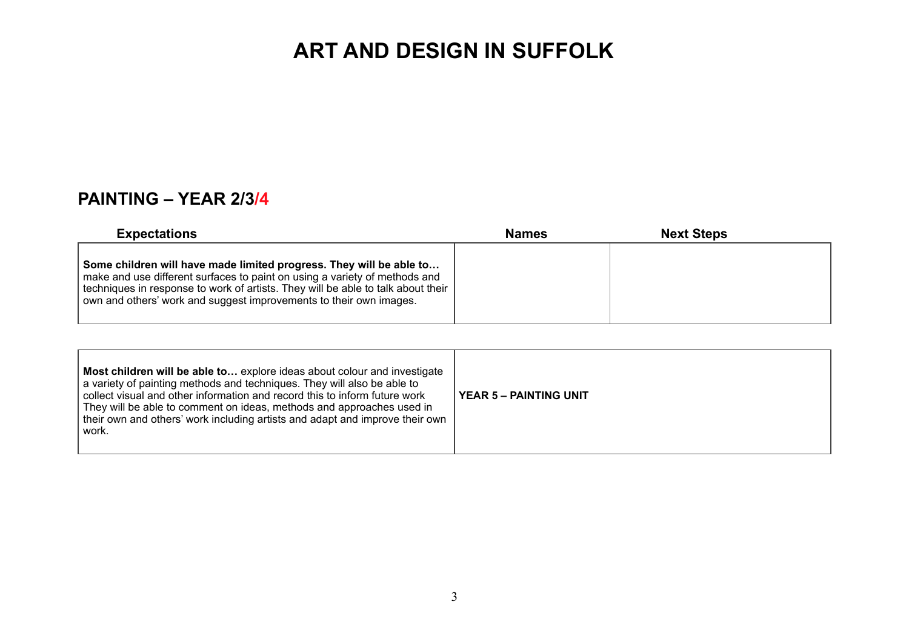### **PAINTING – YEAR 2/3/4**

| <b>Expectations</b>                                                                                                                                                                                                                                                                                         | <b>Names</b> | <b>Next Steps</b> |  |
|-------------------------------------------------------------------------------------------------------------------------------------------------------------------------------------------------------------------------------------------------------------------------------------------------------------|--------------|-------------------|--|
| Some children will have made limited progress. They will be able to<br>make and use different surfaces to paint on using a variety of methods and<br>techniques in response to work of artists. They will be able to talk about their<br>own and others' work and suggest improvements to their own images. |              |                   |  |

| Most children will be able to explore ideas about colour and investigate<br>a variety of painting methods and techniques. They will also be able to<br>collect visual and other information and record this to inform future work<br>They will be able to comment on ideas, methods and approaches used in<br>their own and others' work including artists and adapt and improve their own<br>l work. | <b>YEAR 5 - PAINTING UNIT</b> |
|-------------------------------------------------------------------------------------------------------------------------------------------------------------------------------------------------------------------------------------------------------------------------------------------------------------------------------------------------------------------------------------------------------|-------------------------------|
|-------------------------------------------------------------------------------------------------------------------------------------------------------------------------------------------------------------------------------------------------------------------------------------------------------------------------------------------------------------------------------------------------------|-------------------------------|